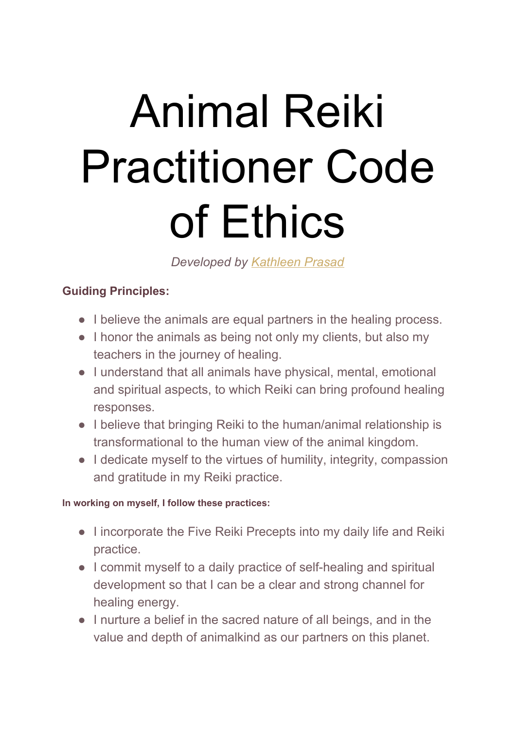# Animal Reiki Practitioner Code of Ethics

*Developed by [Kathleen](https://www.animalreikisource.com/animal-reiki-source/about-kathleen/) Prasad*

## **Guiding Principles:**

- I believe the animals are equal partners in the healing process.
- I honor the animals as being not only my clients, but also my teachers in the journey of healing.
- I understand that all animals have physical, mental, emotional and spiritual aspects, to which Reiki can bring profound healing responses.
- I believe that bringing Reiki to the human/animal relationship is transformational to the human view of the animal kingdom.
- I dedicate myself to the virtues of humility, integrity, compassion and gratitude in my Reiki practice.

#### **In working on myself, I follow these practices:**

- I incorporate the Five Reiki Precepts into my daily life and Reiki practice.
- I commit myself to a daily practice of self-healing and spiritual development so that I can be a clear and strong channel for healing energy.
- I nurture a belief in the sacred nature of all beings, and in the value and depth of animalkind as our partners on this planet.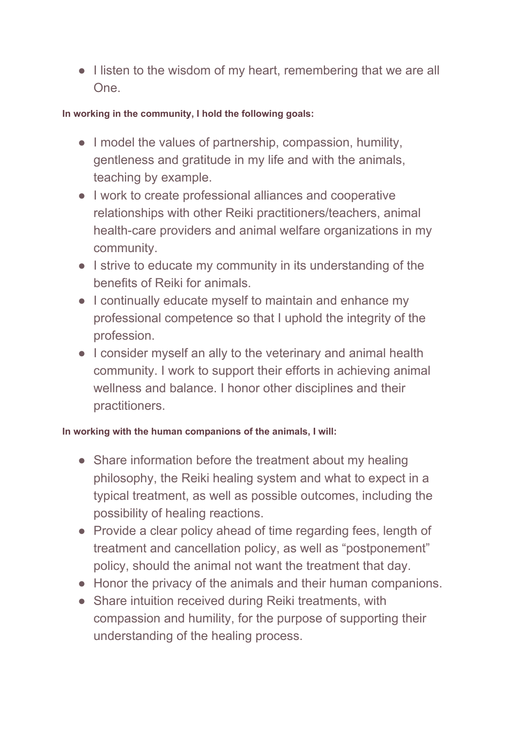• I listen to the wisdom of my heart, remembering that we are all One.

#### **In working in the community, I hold the following goals:**

- I model the values of partnership, compassion, humility, gentleness and gratitude in my life and with the animals, teaching by example.
- I work to create professional alliances and cooperative relationships with other Reiki practitioners/teachers, animal health-care providers and animal welfare organizations in my community.
- I strive to educate my community in its understanding of the benefits of Reiki for animals.
- I continually educate myself to maintain and enhance my professional competence so that I uphold the integrity of the profession.
- I consider myself an ally to the veterinary and animal health community. I work to support their efforts in achieving animal wellness and balance. I honor other disciplines and their practitioners.

### **In working with the human companions of the animals, I will:**

- Share information before the treatment about my healing philosophy, the Reiki healing system and what to expect in a typical treatment, as well as possible outcomes, including the possibility of healing reactions.
- Provide a clear policy ahead of time regarding fees, length of treatment and cancellation policy, as well as "postponement" policy, should the animal not want the treatment that day.
- Honor the privacy of the animals and their human companions.
- Share intuition received during Reiki treatments, with compassion and humility, for the purpose of supporting their understanding of the healing process.